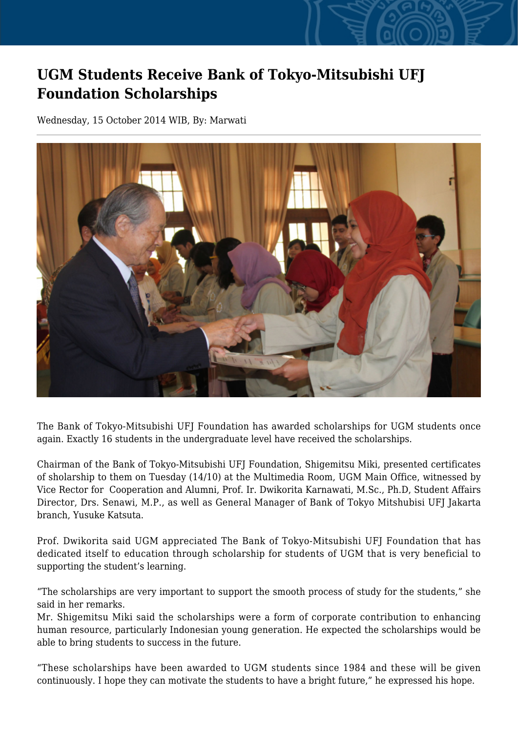## **UGM Students Receive Bank of Tokyo-Mitsubishi UFJ Foundation Scholarships**

Wednesday, 15 October 2014 WIB, By: Marwati



The Bank of Tokyo-Mitsubishi UFJ Foundation has awarded scholarships for UGM students once again. Exactly 16 students in the undergraduate level have received the scholarships.

Chairman of the Bank of Tokyo-Mitsubishi UFJ Foundation, Shigemitsu Miki, presented certificates of sholarship to them on Tuesday (14/10) at the Multimedia Room, UGM Main Office, witnessed by Vice Rector for Cooperation and Alumni, Prof. Ir. Dwikorita Karnawati, M.Sc., Ph.D, Student Affairs Director, Drs. Senawi, M.P., as well as General Manager of Bank of Tokyo Mitshubisi UFJ Jakarta branch, Yusuke Katsuta.

Prof. Dwikorita said UGM appreciated The Bank of Tokyo-Mitsubishi UFJ Foundation that has dedicated itself to education through scholarship for students of UGM that is very beneficial to supporting the student's learning.

"The scholarships are very important to support the smooth process of study for the students," she said in her remarks.

Mr. Shigemitsu Miki said the scholarships were a form of corporate contribution to enhancing human resource, particularly Indonesian young generation. He expected the scholarships would be able to bring students to success in the future.

"These scholarships have been awarded to UGM students since 1984 and these will be given continuously. I hope they can motivate the students to have a bright future," he expressed his hope.